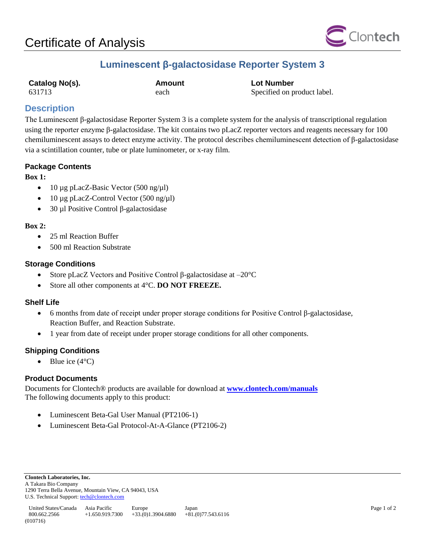

# **Luminescent β-galactosidase Reporter System 3**

| Catalog No(s). |  |
|----------------|--|
| 631713         |  |

**Catalog No(s). Amount Lot Number** each Specified on product label.

## **Description**

The Luminescent β-galactosidase Reporter System 3 is a complete system for the analysis of transcriptional regulation using the reporter enzyme β-galactosidase. The kit contains two pLacZ reporter vectors and reagents necessary for 100 chemiluminescent assays to detect enzyme activity. The protocol describes chemiluminescent detection of β-galactosidase via a scintillation counter, tube or plate luminometer, or x-ray film.

#### **Package Contents**

#### **Box 1:**

- 10  $\mu$ g pLacZ-Basic Vector (500 ng/ $\mu$ l)
- 10 µg pLacZ-Control Vector (500 ng/µl)
- 30 μl Positive Control β-galactosidase

#### **Box 2:**

- 25 ml Reaction Buffer
- 500 ml Reaction Substrate

#### **Storage Conditions**

- Store pLacZ Vectors and Positive Control β-galactosidase at  $-20^{\circ}$ C
- Store all other components at 4°C. **DO NOT FREEZE.**

#### **Shelf Life**

- 6 months from date of receipt under proper storage conditions for Positive Control β-galactosidase, Reaction Buffer, and Reaction Substrate.
- 1 year from date of receipt under proper storage conditions for all other components.

## **Shipping Conditions**

• Blue ice  $(4^{\circ}C)$ 

## **Product Documents**

Documents for Clontech® products are available for download at **[www.clontech.com/manuals](http://www.clontech.com/manuals)** The following documents apply to this product:

- Luminescent Beta-Gal User Manual (PT2106-1)
- Luminescent Beta-Gal Protocol-At-A-Glance (PT2106-2)

**Clontech Laboratories, Inc.**  A Takara Bio Company 1290 Terra Bella Avenue, Mountain View, CA 94043, USA U.S. Technical Support[: tech@clontech.com](mailto:tech@clontech.com)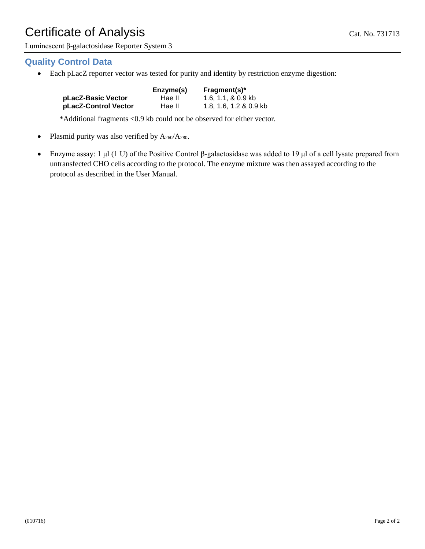# Certificate of Analysis Cat. No. 731713

Luminescent β-galactosidase Reporter System 3

# **Quality Control Data**

Each pLacZ reporter vector was tested for purity and identity by restriction enzyme digestion:

|                      | Enzyme(s) | $Fragment(s)^*$        |
|----------------------|-----------|------------------------|
| pLacZ-Basic Vector   | Hae II    | 1.6, 1.1, & 0.9 kb     |
| pLacZ-Control Vector | Hae II    | 1.8, 1.6, 1.2 & 0.9 kb |

\*Additional fragments <0.9 kb could not be observed for either vector.

- Plasmid purity was also verified by  $A_{260}/A_{280}$ .
- Enzyme assay: 1 μl (1 U) of the Positive Control β-galactosidase was added to 19 μl of a cell lysate prepared from untransfected CHO cells according to the protocol. The enzyme mixture was then assayed according to the protocol as described in the User Manual.